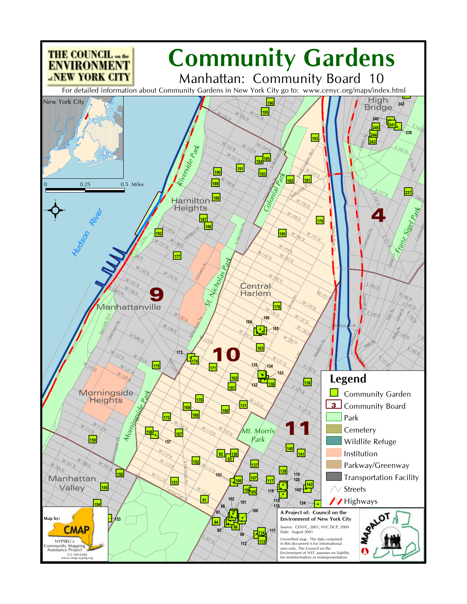